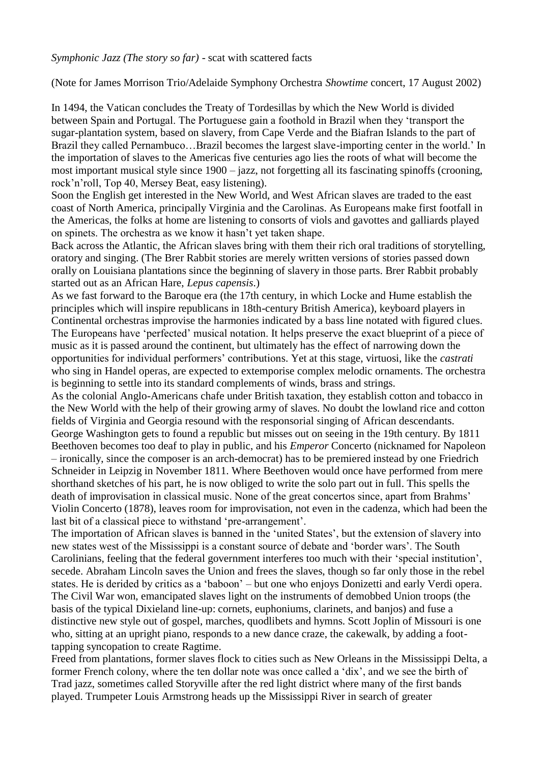(Note for James Morrison Trio/Adelaide Symphony Orchestra *Showtime* concert, 17 August 2002)

In 1494, the Vatican concludes the Treaty of Tordesillas by which the New World is divided between Spain and Portugal. The Portuguese gain a foothold in Brazil when they "transport the sugar-plantation system, based on slavery, from Cape Verde and the Biafran Islands to the part of Brazil they called Pernambuco…Brazil becomes the largest slave-importing center in the world." In the importation of slaves to the Americas five centuries ago lies the roots of what will become the most important musical style since 1900 – jazz, not forgetting all its fascinating spinoffs (crooning, rock"n"roll, Top 40, Mersey Beat, easy listening).

Soon the English get interested in the New World, and West African slaves are traded to the east coast of North America, principally Virginia and the Carolinas. As Europeans make first footfall in the Americas, the folks at home are listening to consorts of viols and gavottes and galliards played on spinets. The orchestra as we know it hasn"t yet taken shape.

Back across the Atlantic, the African slaves bring with them their rich oral traditions of storytelling, oratory and singing. (The Brer Rabbit stories are merely written versions of stories passed down orally on Louisiana plantations since the beginning of slavery in those parts. Brer Rabbit probably started out as an African Hare, *Lepus capensis*.)

As we fast forward to the Baroque era (the 17th century, in which Locke and Hume establish the principles which will inspire republicans in 18th-century British America), keyboard players in Continental orchestras improvise the harmonies indicated by a bass line notated with figured clues. The Europeans have "perfected" musical notation. It helps preserve the exact blueprint of a piece of music as it is passed around the continent, but ultimately has the effect of narrowing down the opportunities for individual performers" contributions. Yet at this stage, virtuosi, like the *castrati* who sing in Handel operas, are expected to extemporise complex melodic ornaments. The orchestra is beginning to settle into its standard complements of winds, brass and strings.

As the colonial Anglo-Americans chafe under British taxation, they establish cotton and tobacco in the New World with the help of their growing army of slaves. No doubt the lowland rice and cotton fields of Virginia and Georgia resound with the responsorial singing of African descendants. George Washington gets to found a republic but misses out on seeing in the 19th century. By 1811 Beethoven becomes too deaf to play in public, and his *Emperor* Concerto (nicknamed for Napoleon – ironically, since the composer is an arch-democrat) has to be premiered instead by one Friedrich Schneider in Leipzig in November 1811. Where Beethoven would once have performed from mere shorthand sketches of his part, he is now obliged to write the solo part out in full. This spells the death of improvisation in classical music. None of the great concertos since, apart from Brahms" Violin Concerto (1878), leaves room for improvisation, not even in the cadenza, which had been the last bit of a classical piece to withstand 'pre-arrangement'.

The importation of African slaves is banned in the "united States", but the extension of slavery into new states west of the Mississippi is a constant source of debate and "border wars". The South Carolinians, feeling that the federal government interferes too much with their "special institution", secede. Abraham Lincoln saves the Union and frees the slaves, though so far only those in the rebel states. He is derided by critics as a "baboon" – but one who enjoys Donizetti and early Verdi opera. The Civil War won, emancipated slaves light on the instruments of demobbed Union troops (the basis of the typical Dixieland line-up: cornets, euphoniums, clarinets, and banjos) and fuse a distinctive new style out of gospel, marches, quodlibets and hymns. Scott Joplin of Missouri is one who, sitting at an upright piano, responds to a new dance craze, the cakewalk, by adding a foottapping syncopation to create Ragtime.

Freed from plantations, former slaves flock to cities such as New Orleans in the Mississippi Delta, a former French colony, where the ten dollar note was once called a "dix", and we see the birth of Trad jazz, sometimes called Storyville after the red light district where many of the first bands played. Trumpeter Louis Armstrong heads up the Mississippi River in search of greater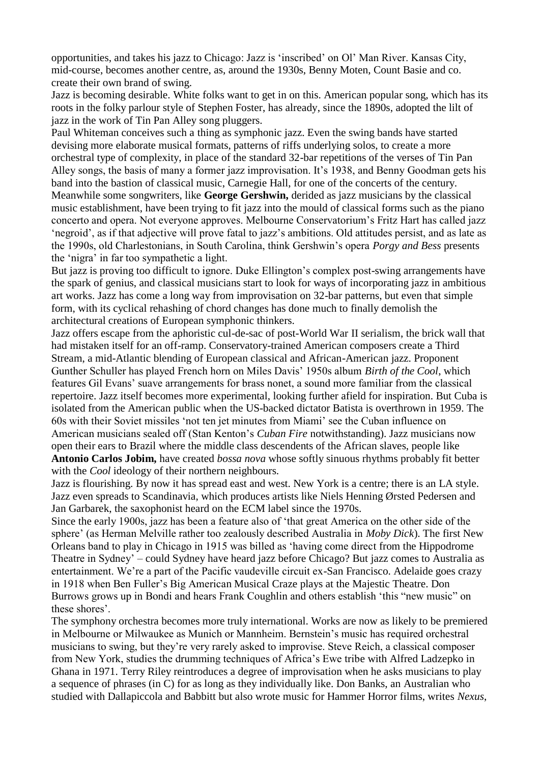opportunities, and takes his jazz to Chicago: Jazz is "inscribed" on Ol" Man River. Kansas City, mid-course, becomes another centre, as, around the 1930s, Benny Moten, Count Basie and co. create their own brand of swing.

Jazz is becoming desirable. White folks want to get in on this. American popular song, which has its roots in the folky parlour style of Stephen Foster, has already, since the 1890s, adopted the lilt of jazz in the work of Tin Pan Alley song pluggers.

Paul Whiteman conceives such a thing as symphonic jazz. Even the swing bands have started devising more elaborate musical formats, patterns of riffs underlying solos, to create a more orchestral type of complexity, in place of the standard 32-bar repetitions of the verses of Tin Pan Alley songs, the basis of many a former jazz improvisation. It's 1938, and Benny Goodman gets his band into the bastion of classical music, Carnegie Hall, for one of the concerts of the century. Meanwhile some songwriters, like **George Gershwin,** derided as jazz musicians by the classical music establishment, have been trying to fit jazz into the mould of classical forms such as the piano concerto and opera. Not everyone approves. Melbourne Conservatorium"s Fritz Hart has called jazz 'negroid', as if that adjective will prove fatal to jazz's ambitions. Old attitudes persist, and as late as the 1990s, old Charlestonians, in South Carolina, think Gershwin"s opera *Porgy and Bess* presents the "nigra" in far too sympathetic a light.

But jazz is proving too difficult to ignore. Duke Ellington's complex post-swing arrangements have the spark of genius, and classical musicians start to look for ways of incorporating jazz in ambitious art works. Jazz has come a long way from improvisation on 32-bar patterns, but even that simple form, with its cyclical rehashing of chord changes has done much to finally demolish the architectural creations of European symphonic thinkers.

Jazz offers escape from the aphoristic cul-de-sac of post-World War II serialism, the brick wall that had mistaken itself for an off-ramp. Conservatory-trained American composers create a Third Stream, a mid-Atlantic blending of European classical and African-American jazz. Proponent Gunther Schuller has played French horn on Miles Davis" 1950s album *Birth of the Cool*, which features Gil Evans" suave arrangements for brass nonet, a sound more familiar from the classical repertoire. Jazz itself becomes more experimental, looking further afield for inspiration. But Cuba is isolated from the American public when the US-backed dictator Batista is overthrown in 1959. The 60s with their Soviet missiles "not ten jet minutes from Miami" see the Cuban influence on American musicians sealed off (Stan Kenton"s *Cuban Fire* notwithstanding). Jazz musicians now open their ears to Brazil where the middle class descendents of the African slaves, people like **Antonio Carlos Jobim,** have created *bossa nova* whose softly sinuous rhythms probably fit better with the *Cool* ideology of their northern neighbours.

Jazz is flourishing. By now it has spread east and west. New York is a centre; there is an LA style. Jazz even spreads to Scandinavia, which produces artists like Niels Henning Ørsted Pedersen and Jan Garbarek, the saxophonist heard on the ECM label since the 1970s.

Since the early 1900s, jazz has been a feature also of "that great America on the other side of the sphere" (as Herman Melville rather too zealously described Australia in *Moby Dick*). The first New Orleans band to play in Chicago in 1915 was billed as "having come direct from the Hippodrome Theatre in Sydney" – could Sydney have heard jazz before Chicago? But jazz comes to Australia as entertainment. We"re a part of the Pacific vaudeville circuit ex-San Francisco. Adelaide goes crazy in 1918 when Ben Fuller"s Big American Musical Craze plays at the Majestic Theatre. Don Burrows grows up in Bondi and hears Frank Coughlin and others establish "this "new music" on these shores".

The symphony orchestra becomes more truly international. Works are now as likely to be premiered in Melbourne or Milwaukee as Munich or Mannheim. Bernstein"s music has required orchestral musicians to swing, but they"re very rarely asked to improvise. Steve Reich, a classical composer from New York, studies the drumming techniques of Africa"s Ewe tribe with Alfred Ladzepko in Ghana in 1971. Terry Riley reintroduces a degree of improvisation when he asks musicians to play a sequence of phrases (in C) for as long as they individually like. Don Banks, an Australian who studied with Dallapiccola and Babbitt but also wrote music for Hammer Horror films, writes *Nexus*,